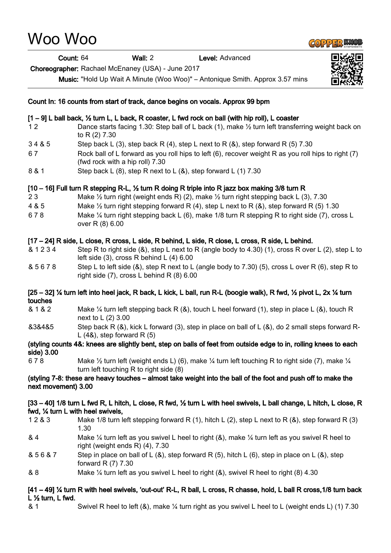# Woo Woo

# **GOPPER KNOE**

Count: 64 Wall: 2 Level: Advanced

Choreographer: Rachael McEnaney (USA) - June 2017

Music: "Hold Up Wait A Minute (Woo Woo)" – Antonique Smith. Approx 3.57 mins



# Count In: 16 counts from start of track, dance begins on vocals. Approx 99 bpm

# [1 – 9] L ball back, ½ turn L, L back, R coaster, L fwd rock on ball (with hip roll), L coaster

- 1 2 Dance starts facing 1.30: Step ball of L back (1), make  $\frac{1}{2}$  turn left transferring weight back on to R (2) 7.30
- $3.4 & 5$  Step back L (3), step back R (4), step L next to R (8), step forward R (5) 7.30
- 6 7 Rock ball of L forward as you roll hips to left (6), recover weight R as you roll hips to right (7) (fwd rock with a hip roll) 7.30
- 8 & 1 Step back L (8), step R next to L (8), step forward L (1) 7.30

# [10 – 16] Full turn R stepping R-L, ½ turn R doing R triple into R jazz box making 3/8 turn R

- 2 3 Make ½ turn right (weight ends R) (2), make ½ turn right stepping back L (3), 7.30
- 4 & 5 Make ½ turn right stepping forward R (4), step L next to R (&), step forward R (5) 1.30
- 6 7 8 Make ¼ turn right stepping back L (6), make 1/8 turn R stepping R to right side (7), cross L over R (8) 6.00

# [17 – 24] R side, L close, R cross, L side, R behind, L side, R close, L cross, R side, L behind.

- & 1 2 3 4 Step R to right side (&), step L next to R (angle body to 4.30) (1), cross R over L (2), step L to left side (3), cross R behind L (4) 6.00
- & 5 6 7 8 Step L to left side (&), step R next to L (angle body to 7.30) (5), cross L over R (6), step R to right side (7), cross L behind R (8) 6.00

#### [25 – 32] ¼ turn left into heel jack, R back, L kick, L ball, run R-L (boogie walk), R fwd, ½ pivot L, 2x ¼ turn touches

- & 1 & 2 Make ¼ turn left stepping back R (&), touch L heel forward (1), step in place L (&), touch R next to L (2) 3.00
- &3&4&5 Step back R (&), kick L forward (3), step in place on ball of L (&), do 2 small steps forward R-L  $(4\&)$ , step forward R $(5)$

#### (styling counts 4&: knees are slightly bent, step on balls of feet from outside edge to in, rolling knees to each side) 3.00

6 7 8 Make  $\frac{1}{2}$  turn left (weight ends L) (6), make  $\frac{1}{4}$  turn left touching R to right side (7), make  $\frac{1}{4}$ turn left touching R to right side (8)

#### (styling 7-8: these are heavy touches – almost take weight into the ball of the foot and push off to make the next movement) 3.00

#### [33 – 40] 1/8 turn L fwd R, L hitch, L close, R fwd, ½ turn L with heel swivels, L ball change, L hitch, L close, R fwd, ¼ turn L with heel swivels,

- 1 2 & 3 Make 1/8 turn left stepping forward R (1), hitch L (2), step L next to R (&), step forward R (3) 1.30
- & 4 Make  $\frac{1}{4}$  turn left as you swivel L heel to right (&), make  $\frac{1}{4}$  turn left as you swivel R heel to right (weight ends R) (4), 7.30
- & 5 6 & 7 Step in place on ball of L (&), step forward R (5), hitch L (6), step in place on L (&), step forward R (7) 7.30
- & 8 Make ¼ turn left as you swivel L heel to right (&), swivel R heel to right (8) 4.30

#### [41 – 49] ¼ turn R with heel swivels, 'out-out' R-L, R ball, L cross, R chasse, hold, L ball R cross,1/8 turn back L ½ turn, L fwd.

& 1 Swivel R heel to left (&), make ¼ turn right as you swivel L heel to L (weight ends L) (1) 7.30